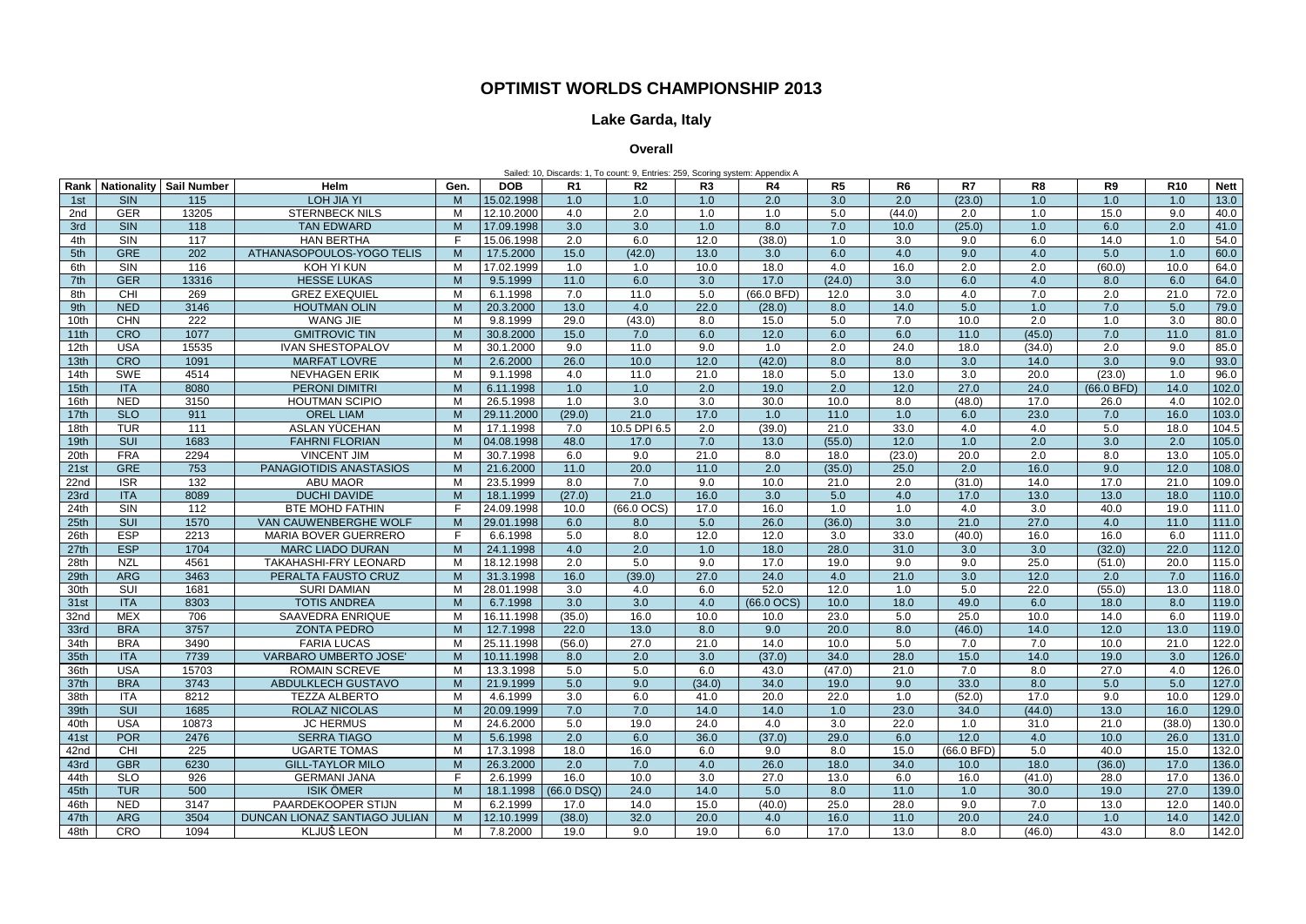**Rank Nationality Sail Number Helm Gen. DOB R1 R2 R3 R4 R5 R6 R7 R8 R9 R10 Nett** 1st | SIN | 115 | LOHJIA YI | M |15.02.1998| 1.0 | 1.0 | 1.0 | 2.0 | 3.0 | 2.0 | (23.0) | 1.0 | 1.0 | 1.0 |13.0 2nd | GER | 13205 | STERNBECK NILS | M |12.10.2000| 4.0 | 2.0 | 1.0 | 1.0 | 5.0 | (44.0) | 2.0 | 1.0 | 15.0 | 9.0 |40.0 3rd | SIN | 118 | TAN EDWARD | M |17.09.1998| 3.0 | 3.0 | 1.0 | 8.0 | 7.0 | 10.0 | (25.0) | 1.0 | 6.0 | 2.0 |41.0 4th | SIN | 117 | HAN<code>BERTHA | F |15.06.1998</code> | 2.0 | 6.0 | 12.0 | (38.0) | 1.0 | 3.0 | 9.0 | 6.0 | 14.0 | 1.0 |54.0 5th GRE 202 ATHANASOPOULOS-YOGO TELIS | M | 17.5.2000 | 15.0 | (42.0) | 13.0 | 3.0 | 6.0 | 4.0 | 9.0 6th | SIN | 116 | KOH<code>YI</code>KUN | M |17.02.1999| 1.0 | 1.0 | 10.0 | 18.0 | 1.0 | 16.0 | 2.0 | 2.0 | (60.0) | 10.0 |64.0 7th | GER | 13316 | HESSE<code>LUKAS | M |</code> 9.5.1999 | 11.0 | 6.0 | 3.0 | 17.0 | (24.0) | 3.0 | 6.0 | 6.0 | 8.0 | 6.0 |64.0 8th | CHI | 269 | GREZ EXEQUIEL | M | 6.1.1998 | 7.0 | 11.0 | 5.0 |(66.0 BFD) | 12.0 | 3.0 | 4.0 | 7.0 | 2.0 | 21.0 |72.0 9th | NED | 3146 | HOUTMAN OLIN | M |20.3.2000 | 13.0 | 4.0 | 22.0 | (28.0) | 8.0 | 14.0 | 5.0 | 1.0 | 7.0 | 5.0 |79.0 10th | CHN | 222 | WANG JIE | M | 9.8.1999 | 29.0 | (43.0) | 8.0 | 15.0 | 5.0 | 7.0 | 10.0 | 2.0 | 1.0 | 3.0 |80.0 11th | CRO | 1077 | GMITROVIC TIN | M |30.8.2000 | 15.0 | 7.0 | 6.0 | 12.0 | 6.0 | 6.0 | 11.0 | (45.0) | 7.0 | 11.0 |81.0 12th | USA | 15535 | IVAN SHESTOPALOV | M |30.1.2000 | 9.0 | 11.0 | 9.0 | 1.0 | 2.0 | 24.0 | 18.0 | (34.0) | 2.0 | 9.0 |85.0 13th | CRO | 1091 | MARFAT<code>LOVRE | M | 2.6.2000 | 26.0 | 10.0 | 12.0 | (42.0) | 8.0 | 8.0 | 3.0 | 14.0 | 3.0 | 9.0 | 93.0</sup></code> 14th | SWE | 4514 | NEVHAGENERIK | M | 9.1.1998 | 4.0 | 11.0 | 21.0 | 18.0 | 5.0 | 13.0 | 3.0 | 20.0 | (23.0) | 1.0 |96.0 15th | ITA | 8080 | PERONI<code>DIMITRI | M | 6.11.1998 | 1.0 | 1.0 | 2.0 | 19.0 | 2.0 | 12.0 | 27.0 | 24.0 | (66.0 BFD) | 14.0 |102.0 | 102.0 |</mark></code> 16th | NED | 3150 | HOUTMAN SCIPIO | M |26.5.1998 | 1.0 | 3.0 | 3.0 | 30.0 | 10.0 | 8.0 | (48.0) | 17.0 | 26.0 | 4.0 |102.0 17th | SLO | 911 | OREL\_LIAM | M |29.11.2000 (29.0) | 21.0 | 17.0 | 11.0 | 1.0 | 6.0 | 6.0 | 23.0 | 7.0 | 16.0 |103.0 18th | TUR | 111 | ASLAN YÜCEHAN | M |17.1.1998 | 7.0 |10.5 DPI 6.5 | 2.0 | (39.0) | 21.0 | 33.0 | 4.0 | 4.0 | 5.0 | 18.0 |104.5 19th | SUI | 1683 | FAHRNI<code>FLORIAN | M |04.08.1998 48.0 | 17.0 | 7.0 | 13.0 | (55.0) | 12.0 | 1.0 | 2.0 | 3.0 | 2.0 |105.0</mark></code> 20th | FRA | 2294 | VINCENT JIM | M | 30.7.1998 | 6.0 | 9.0 | 21.0 | 8.0 | 18.0 | 18.0 | 20.0 | 2.0 | 8.0 | 13.0 |105.0 21st GRE 753 PANAGIOTIDIS ANASTASIOS M 21.6.2000 11.0 20.0 11.0 2.0 (35.0) 25.0 2.0 22nd | ISR | 132 | ABU MAOR | M |23.5.1999 | 8.0 | 7.0 | 9.0 | 10.0 | 21.0 | 2.0 | (31.0) | 14.0 | 17.0 | 21.0 |109.0 23rd | ITA | 8089 | DUCHI DAVIDE | M | 18.1.1999 (27.0) | 21.0 | 16.0 | 3.0 | 5.0 | 4.0 | 17.0 | 13.0 | 13.0 | 18.0 |110.0 24th | SIN | 112 | BTE MOHD<code>FATHIN | F |24.09.1998</code> | 10.0 |(66.0<code>OCS)</code> | 17.0 | 16.0 | 1.0 | 1.0 | 4.0 | 3.0 | 40.0 | 19.0 |111.0 25th SUI 1570 VAN CAUWENBERGHE WOLF M 29.01.1998 6.0 8.0 5.0 36.0 26.0 (36.0) 3.0 21.0 26th | ESP | 2213 | MARIA BOVER GUERRERO | F | 6.6.1998 | 5.0 | 8.0 | 12.0 | 12.0 | 3.0 | 33.0 | (40.0) | 16.0 | 16.0 | 6.0 |111.0 27th | ESP | 1704 | MARC LIADO DURAN | M | 24.1.1998 | 4.0 | 2.0 | 1.0 | 18.0 | 28.0 | 31.0 | 3.0 | 3.0 | (32.0) | 22.0 |112.0 28th | NZL | 4561 | TAKAHASHI-FRY LEONARD | M |18.12.1998 | 2.0 | 5.0 | 9.0 | 17.0 | 19.0 | 9.0 | 9.0 | 25.0 | (51.0) | 20.0 |115.0 29th | ARG | 3463 | PERALTA<code>FAUSTO CRUZ | M |</code>31.3.1998 | 16.0 | (39.0) | 27.0 | 24.0 | 4.0 | 21.0 | 3.0 | 12.0 | 2.0 | 7.0 |116.0 30th | SUI | 1681 | SURI<code>DAMIAN | M |</code>28.01.1998 |3.0 | 4.0 | 6.0 | 52.0 | 12.0 | 1.0 | 5.0 | 22.0 | (55.0) | 13.0 |118.0 31st | ITA | 8303 | TOTIS ANDREA | M | 6.7.1998 | 3.0 | 3.0 | 4.0 |(66.0 OCS) | 10.0 | 18.0 | 49.0 | 6.0 | 18.0 | 8.0 |119.0 32nd | MEX | 706 | SAAVEDRA<code>ENRIQUE | M |16.11.1998| (35.0) | 16.0 | 10.0 | 10.0 | 23.0 | 5.0 | 25.0 | 10.0 | 14.0 | 6.0 |119.0</mark></code> 33rd BRA | 3757 | ZONTA PEDRO | M | 12.7.1998 | 22.0 | 13.0 | 8.0 | 9.0 | 20.0 | 8.0 | (46.0) | 14.0 | 12.0 | 13.0 |119.0 34th | BRA | 3490 | FARIA LUCAS | M |25.11.1998 (56.0) | 27.0 | 21.0 | 14.0 | 10.0 | 5.0 | 7.0 | 7.0 | 10.0 | 21.0 |122.0 35th | ITA | 7739 | VARBARO<code>UMBERTO</code> JOSE' | M |10.11.1998 |8.0 | 2.0 | 3.0 | (37.0) | 34.0 | 28.0 | 15.0 | 14.0 | 19.0 | 3.0 |126.0 36th | USA | 15703 | ROMAIN-SCREVE | M |13.3.1998 | 5.0 | 5.0 | 6.0 | 43.0 | (47.0) | 21.0 | 7.0 | 8.0 | 27.0 | 4.0 |126.0 37th | BRA | 3743 | ABDULKLECH GUSTAVO | M |21.9.1999 | 5.0 | 9.0 | (34.0) | 34.0 | 19.0 | 9.0 | 33.0 | 8.0 | 5.0 | 127.0 38th | ITA | 8212 | TEZZA<code>ALBERTO | M | 4.6.1999 | 3.0 | 6.0 | 41.0 | 20.0 | 22.0 | 1.0 | (52.0) | 17.0 | 9.0 | 10.0 |129.0</mark></code> 39th | SUI | 1685 | ROLAZ NICOLAS | M |20.09.1999 7.0 | 7.0 | 14.0 | 14.0 | 1.0 | 23.0 | 34.0 | (44.0) | 13.0 | 16.0 |129.0 40th | USA | 10873 | JCHERMUS | M |24.6.2000 | 5.0 | 19.0 | 24.0 | 4.0 | 3.0 | 22.0 | 1.0 | 31.0 | 21.0 | (38.0) |130.0 41st | POR | 2476 | SERRA<code>TIAGO | M | 5.6.1998 | 2.0 | 6.0 | 36.0 | (37.0) | 29.0 | 6.0 | 12.0 | 4.0 | 10.0 | 26.0 |131.0 | 26.0 | 131.0 | 26.0 | 131.0 | 26.0 | 131.0 | 26.0 | 131.0 | 26.0 | 131.0 | 26.0 | 131.0 |</code> 42nd | CHI | 225 | UGARTE TOMAS | M | 17.3.1998 | 18.0 | 16.0 | 6.0 | 9.0 | 8.0 | 15.0 |(66.0 BFD) | 5.0 | 40.0 | 15.0 |132.0 43rd | GBR | 6230 | GILL-TAYLOR MILO | M |26.3.2000 | 2.0 | 7.0 | 4.0 | 26.0 | 18.0 | 34.0 | 10.0 | 18.0 | (36.0) | 17.0 |136.0 44th SLO | 926 | GERMANI JANA | F | 2.6.1999 | 16.0 | 10.0 | 3.0 | 27.0 | 13.0 | 6.0 | 16.0 | (41.0) | 28.0 | 17.0 |136.0 45th | TUR | 500 | ISIK OMER | M |18.1.1998 |(66.0 DSQ) | 24.0 | 14.0 | 5.0 | 8.0 | 11.0 | 1.0 | 30.0 | 19.0 | 27.0 |139.0 46th NED 3147 | PAARDEKOOPER STIJN | M 6.2.1999 | 17.0 | 14.0 | 15.0 | (40.0) | 25.0 | 28.0 | 9.0 47th ARG 3504 DUNCAN LIONAZ SANTIAGO JULIAN M 12.10.1999 (38.0) 32.0 20.0 4.0 16.0 11.0 20.0 48th | CRO | 1094 | KLJUŠ<code>LEON | M | 7.8.2000 | 19.0 | 9.0 | 19.0 | 6.0 | 17.0 | 13.0 | 8.0 | (46.0) | 43.0 | 8.0 |142.0 |</mark></code> Sailed: 10, Discards: 1, To count: 9, Entries: 259, Scoring system: Appendix A

|    | R <sub>8</sub>   | R <sub>9</sub>   | R <sub>10</sub>   | <b>Nett</b> |  |  |  |  |
|----|------------------|------------------|-------------------|-------------|--|--|--|--|
|    | 1.0              | 1.0              | 1.0               | 13.0        |  |  |  |  |
|    | 1.0              | 15.0             | 9.0               | 40.0        |  |  |  |  |
|    | 1.0              | 6.0              | $\overline{2.0}$  | 41.0        |  |  |  |  |
|    | 6.0              | 14.0             | 1.0               | 54.0        |  |  |  |  |
|    | 4.0              | $\overline{5.0}$ | $\overline{1.0}$  | 60.0        |  |  |  |  |
|    | 2.0              | (60.0)           | 10.0              | 64.0        |  |  |  |  |
|    | 4.0              | $\overline{8.0}$ | 6.0               | 64.0        |  |  |  |  |
|    | 7.0              | 2.0              | 21.0              | 72.0        |  |  |  |  |
|    | $\overline{1.0}$ | 7.0              | 5.0               | 79.0        |  |  |  |  |
|    | 2.0              | 1.0              | 3.0               | 80.0        |  |  |  |  |
|    | (45.0)           | $\overline{7.0}$ | 11.0              | 81.0        |  |  |  |  |
|    | (34.0)           | 2.0              | 9.0               | 85.0        |  |  |  |  |
|    | 14.0             | $\overline{3.0}$ | 9.0               | 93.0        |  |  |  |  |
|    | 20.0             | (23.0)           | 1.0               | 96.0        |  |  |  |  |
|    | 24.0             | (66.0 BFD)       | $\overline{1}4.0$ | 102.0       |  |  |  |  |
|    | 17.0             | 26.0             | 4.0               | 102.0       |  |  |  |  |
|    | 23.0             | 7.0              | 16.0              | 103.0       |  |  |  |  |
|    | 4.0              | 5.0              | 18.0              | 104.5       |  |  |  |  |
|    | $\overline{2.0}$ | 3.0              | 2.0               | 105.0       |  |  |  |  |
|    | 2.0              | 8.0              | 13.0              | 105.0       |  |  |  |  |
|    | 16.0             | 9.0              | 12.0              | 108.0       |  |  |  |  |
|    | 14.0             | 17.0             | 21.0              | 109.0       |  |  |  |  |
|    | 13.0             | 13.0             | 18.0              | 110.0       |  |  |  |  |
|    | 3.0              | 40.0             | 19.0              | 111.0       |  |  |  |  |
|    | 27.0             | 4.0              | 11.0              | 111.0       |  |  |  |  |
|    | 16.0             | 16.0             | 6.0               | 111.0       |  |  |  |  |
|    | $\overline{3.0}$ | (32.0)           | 22.0              | 112.0       |  |  |  |  |
|    | 25.0             | (51.0)           | 20.0              | 115.0       |  |  |  |  |
|    | 12.0             | $\overline{2.0}$ | $\overline{7.0}$  | 116.0       |  |  |  |  |
|    | 22.0             | (55.0)           | 13.0              | 118.0       |  |  |  |  |
|    | 6.0              | 18.0             | 8.0               | 119.0       |  |  |  |  |
|    | 10.0             | 14.0             | 6.0               | 119.0       |  |  |  |  |
|    | 14.0             | 12.0             | 13.0              | 119.0       |  |  |  |  |
|    | 7.0              | 10.0             | 21.0              | 122.0       |  |  |  |  |
|    | 14.0             | 19.0             | $\overline{3.0}$  | 126.0       |  |  |  |  |
|    | 8.0              | 27.0             | 4.0               | 126.0       |  |  |  |  |
|    | 8.0              | 5.0              | 5.0               | 127.0       |  |  |  |  |
|    | 17.0             | 9.0              | 10.0              | 129.0       |  |  |  |  |
|    | (44.0)           | 13.0             | 16.0              | 129.0       |  |  |  |  |
|    | 31.0             | 21.0             | (38.0)            | 130.0       |  |  |  |  |
|    | 4.0              | 10.0             | 26.0              | 131.0       |  |  |  |  |
| )) | 5.0              | 40.0             | 15.0              | 132.0       |  |  |  |  |
|    | 18.0             | (36.0)           | 17.0              | 136.0       |  |  |  |  |
|    | (41.0)           | 28.0             | 17.0              | 136.0       |  |  |  |  |
|    | 30.0             | 19.0             | 27.0              | 139.0       |  |  |  |  |
|    | 7.0              | 13.0             | 12.0              | 140.0       |  |  |  |  |
|    | 24.0             | 1.0              | 14.0              | 142.0       |  |  |  |  |
|    | (46.0)           | 43.0             | 8.0               | 142.0       |  |  |  |  |

## **OPTIMIST WORLDS CHAMPIONSHIP 2013**

## **Lake Garda, Italy**

**Overall**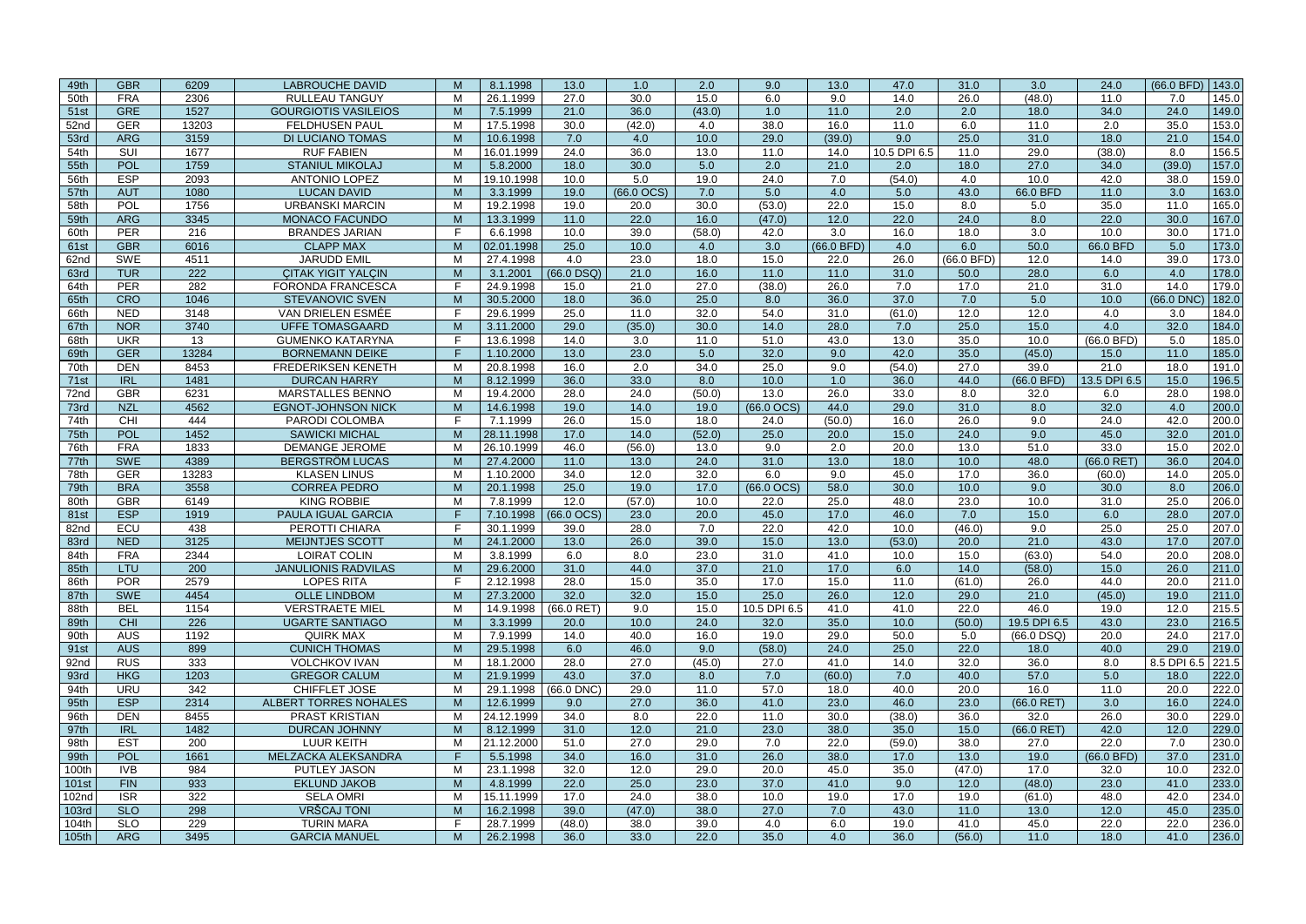| 49th         | <b>GBR</b>               | 6209        | <b>LABROUCHE DAVID</b>                     | M      | 8.1.1998             | 13.0            | 1.0          | 2.0          | 9.0          | 13.0         | 47.0         | 31.0          | 3.0                          | 24.0         | (66.0 BFD)        | 143.0          |
|--------------|--------------------------|-------------|--------------------------------------------|--------|----------------------|-----------------|--------------|--------------|--------------|--------------|--------------|---------------|------------------------------|--------------|-------------------|----------------|
| 50th         | <b>FRA</b>               | 2306        | <b>RULLEAU TANGUY</b>                      | M      | 26.1.1999            | 27.0            | 30.0         | 15.0         | 6.0          | 9.0          | 14.0         | 26.0          | (48.0)                       | 11.0         | 7.0               | 145.0          |
| 51st         | <b>GRE</b>               | 1527        | <b>GOURGIOTIS VASILEIOS</b>                | M      | 7.5.1999             | 21.0            | 36.0         | (43.0)       | 1.0          | 11.0         | 2.0          | 2.0           | 18.0                         | 34.0         | 24.0              | 149.0          |
| 52nd         | <b>GER</b>               | 13203       | <b>FELDHUSEN PAUL</b>                      | M      | 17.5.1998            | 30.0            | (42.0)       | 4.0          | 38.0         | 16.0         | 11.0         | 6.0           | 11.0                         | 2.0          | 35.0              | 153.0          |
| 53rd         | <b>ARG</b>               | 3159        | <b>DI LUCIANO TOMAS</b>                    | M      | 10.6.1998            | 7.0             | 4.0          | 10.0         | 29.0         | (39.0)       | 9.0          | 25.0          | 31.0                         | 18.0         | 21.0              | 154.0          |
| 54th         | SUI                      | 1677        | <b>RUF FABIEN</b>                          | M      | 16.01.1999           | 24.0            | 36.0         | 13.0         | 11.0         | 14.0         | 10.5 DPI 6.5 | 11.0          | 29.0                         | (38.0)       | 8.0               | 156.5          |
| 55th         | <b>POL</b>               | 1759        | <b>STANIUL MIKOLAJ</b>                     | M      | 5.8.2000             | 18.0            | 30.0         | 5.0          | 2.0          | 21.0         | 2.0          | 18.0          | 27.0                         | 34.0         | (39.0)            | 157.0          |
| 56th         | <b>ESP</b>               | 2093        | <b>ANTONIO LOPEZ</b>                       | M      | 19.10.1998           | 10.0            | 5.0          | 19.0         | 24.0         | 7.0          | (54.0)       | 4.0           | 10.0                         | 42.0         | 38.0              | 159.0          |
| 57th         | <b>AUT</b>               | 1080        | <b>LUCAN DAVID</b>                         | M      | 3.3.1999             | 19.0            | $(66.0$ OCS) | 7.0          | 5.0          | 4.0          | 5.0          | 43.0          | 66.0 BFD                     | 11.0         | 3.0               | 163.0          |
| 58th         | POL                      | 1756        | <b>URBANSKI MARCIN</b>                     | M      | 19.2.1998            | 19.0            | 20.0         | 30.0         | (53.0)       | 22.0         | 15.0         | 8.0           | 5.0                          | 35.0         | 11.0              | 165.0          |
| 59th         | <b>ARG</b>               | 3345        | <b>MONACO FACUNDO</b>                      | M      | 13.3.1999            | 11.0            | 22.0         | 16.0         | (47.0)       | 12.0         | 22.0         | 24.0          | 8.0                          | 22.0         | 30.0              | 167.0          |
| 60th         | <b>PER</b>               | 216         | <b>BRANDES JARIAN</b>                      | E      | 6.6.1998             | 10.0            | 39.0         | (58.0)       | 42.0         | 3.0          | 16.0         | 18.0          | 3.0                          | 10.0         | 30.0              | 171.0          |
| 61st         | <b>GBR</b>               | 6016        | <b>CLAPP MAX</b>                           | M      | 02.01.1998           | 25.0            | 10.0         | 4.0          | 3.0          | (66.0 BFD)   | 4.0          | 6.0           | 50.0                         | 66.0 BFD     | 5.0               | 173.0          |
| 62nd         | <b>SWE</b>               | 4511        | <b>JARUDD EMIL</b>                         | м      | 27.4.1998            | 4.0             | 23.0         | 18.0         | 15.0         | 22.0         | 26.0         | (66.0 BFD)    | 12.0                         | 14.0         | 39.0              | 173.0          |
| 63rd         | <b>TUR</b>               | 222         | <b>CITAK YIGIT YALCIN</b>                  | M      | 3.1.2001             | $(66.0$ DSQ)    | 21.0         | 16.0         | 11.0         | 11.0         | 31.0         | 50.0          | 28.0                         | 6.0          | 4.0               | 178.0          |
| 64th         | <b>PER</b>               | 282         | <b>FORONDA FRANCESCA</b>                   | E      | 24.9.1998            | 15.0            | 21.0         | 27.0         | (38.0)       | 26.0         | 7.0          | 17.0          | 21.0                         | 31.0         | 14.0              | 179.0          |
| 65th         | <b>CRO</b>               | 1046        | <b>STEVANOVIC SVEN</b>                     | M      | 30.5.2000            | 18.0            | 36.0         | 25.0         | 8.0          | 36.0         | 37.0         | 7.0           | 5.0                          | 10.0         | (66.0 DNC         | 182.0          |
| 66th         | <b>NED</b>               | 3148        | VAN DRIELEN ESMÉE                          | F.     | 29.6.1999            | 25.0            | 11.0         | 32.0         | 54.0         | 31.0         | (61.0)       | 12.0          | 12.0                         | 4.0          | 3.0               | 184.0          |
| 67th         | <b>NOR</b>               | 3740        | <b>UFFE TOMASGAARD</b>                     | M      | 3.11.2000            | 29.0            | (35.0)       | 30.0         | 14.0         | 28.0         | 7.0          | 25.0          | 15.0                         | 4.0          | 32.0              | 184.0          |
| 68th         | <b>UKR</b>               | 13          | <b>GUMENKO KATARYNA</b>                    |        | 13.6.1998            | 14.0            | 3.0          | 11.0         | 51.0         | 43.0         | 13.0         | 35.0          | 10.0                         | (66.0 BFD)   | 5.0               | 185.0          |
| 69th         | <b>GER</b>               | 13284       | <b>BORNEMANN DEIKE</b>                     | F.     | 1.10.2000            | 13.0            | 23.0         | 5.0          | 32.0         | 9.0          | 42.0         | 35.0          | (45.0)                       | 15.0         | 11.0              | 185.0          |
| 70th         | <b>DEN</b>               | 8453        | <b>FREDERIKSEN KENETH</b>                  | M      | 20.8.1998            | 16.0            | 2.0          | 34.0         | 25.0         | 9.0          | (54.0)       | 27.0          | 39.0                         | 21.0         | 18.0              | 191.0          |
| 71st         | <b>IRL</b>               | 1481        | <b>DURCAN HARRY</b>                        | M      | 8.12.1999            | 36.0            | 33.0         | 8.0          | 10.0         | 1.0          | 36.0         | 44.0          | (66.0 BFD)                   | 13.5 DPI 6.5 | 15.0              | 196.5          |
| 72nd         | <b>GBR</b>               | 6231        | <b>MARSTALLES BENNO</b>                    | M      | 19.4.2000            | 28.0            | 24.0         | (50.0)       | 13.0         | 26.0         | 33.0         | 8.0           | 32.0                         | 6.0          | 28.0              | 198.0          |
| 73rd         | <b>NZL</b>               | 4562        | <b>EGNOT-JOHNSON NICK</b>                  | M      | 14.6.1998            | 19.0            | 14.0         | 19.0         | $(66.0$ OCS) | 44.0         | 29.0         | 31.0          | 8.0                          | 32.0         | 4.0               | 200.0          |
| 74th         | CHI                      | 444         | PARODI COLOMBA                             | F.     | 7.1.1999             | 26.0            | 15.0         | 18.0         | 24.0         | (50.0)       | 16.0         | 26.0          | 9.0                          | 24.0         | 42.0              | 200.0          |
| 75th         | POL                      | 1452        | <b>SAWICKI MICHAL</b>                      | M      | 28.11.1998           | 17.0            | 14.0         | (52.0)       | 25.0         | 20.0         | 15.0         | 24.0          | 9.0                          | 45.0         | 32.0              | 201.0          |
| 76th         | <b>FRA</b>               | 1833        | <b>DEMANGE JEROME</b>                      | M      | 26.10.1999           | 46.0            | (56.0)       | 13.0         | 9.0          | 2.0          | 20.0         | 13.0          | 51.0                         | 33.0         | 15.0              | 202.0          |
| 77th         | <b>SWE</b>               | 4389        | <b>BERGSTRÖM LUCAS</b>                     | M      | 27.4.2000            | 11.0            | 13.0         | 24.0         | 31.0         | 13.0         | 18.0         | 10.0          | 48.0                         | (66.0 RET)   | 36.0              | 204.0          |
| 78th         | <b>GER</b>               | 13283       | <b>KLASEN LINUS</b>                        | M      | 1.10.2000            | 34.0            | 12.0         | 32.0         | 6.0          | 9.0          | 45.0         | 17.0          | 36.0                         | (60.0)       | 14.0              | 205.0          |
| 79th         | <b>BRA</b>               | 3558        | <b>CORREA PEDRO</b>                        | M      | 20.1.1998            | 25.0            | 19.0         | 17.0         | $(66.0$ OCS) | 58.0         | 30.0         | 10.0          | 9.0                          | 30.0         | 8.0               | 206.0          |
| 80th         | <b>GBR</b>               | 6149        | <b>KING ROBBIE</b>                         | M      | 7.8.1999             | 12.0            | (57.0)       | 10.0         | 22.0         | 25.0         | 48.0         | 23.0          | 10.0                         | 31.0         | 25.0              | 206.0          |
| 81st         | <b>ESP</b>               | 1919        | PAULA IGUAL GARCIA                         | F      | 7.10.1998            | (66.0 OCS)      | 23.0         | 20.0         | 45.0         | 17.0         | 46.0         | 7.0           | 15.0                         | 6.0          | 28.0              | 207.0          |
| 82nd         | ECU                      | 438         | PEROTTI CHIARA                             | -F     | 30.1.1999            | 39.0            | 28.0         | 7.0          | 22.0         | 42.0         | 10.0         | (46.0)        | 9.0                          | 25.0         | 25.0              | 207.0          |
| 83rd         | <b>NED</b>               | 3125        | MEIJNTJES SCOTT                            | M      | 24.1.2000            | 13.0            | 26.0         | 39.0         | 15.0         | 13.0         | (53.0)       | 20.0          | 21.0                         | 43.0         | 17.0              | 207.0          |
| 84th         | <b>FRA</b>               | 2344        | <b>LOIRAT COLIN</b>                        | M      | 3.8.1999             | 6.0             | 8.0          | 23.0         | 31.0         | 41.0         | 10.0         | 15.0          | (63.0)                       | 54.0         | 20.0              | 208.0          |
| 85th         | LTU                      | 200         | <b>JANULIONIS RADVILAS</b>                 | M      | 29.6.2000            | 31.0            | 44.0         | 37.0         | 21.0         | 17.0         | 6.0          | 14.0          | (58.0)                       | 15.0         | 26.0              | 211.0          |
| 86th         | <b>POR</b>               | 2579        | <b>LOPES RITA</b>                          | F.     | 2.12.1998            | 28.0            | 15.0         | 35.0         | 17.0         | 15.0         | 11.0         | (61.0)        | 26.0                         | 44.0         | 20.0              | 211.0          |
| 87th         | <b>SWE</b>               | 4454        | <b>OLLE LINDBOM</b>                        | M      | 27.3.2000            | 32.0            | 32.0         | 15.0         | 25.0         | 26.0         | 12.0         | 29.0          | 21.0                         | (45.0)       | 19.0              | 211.0          |
| 88th         | <b>BEL</b>               | 1154<br>226 | <b>VERSTRAETE MIEL</b>                     | M      | 14.9.1998            | $(66.0$ RET)    | 9.0          | 15.0         | 10.5 DPI 6.5 | 41.0         | 41.0         | 22.0          | 46.0                         | 19.0         | 12.0              | 215.5          |
| 89th         | <b>CHI</b><br><b>AUS</b> | 1192        | <b>UGARTE SANTIAGO</b><br><b>QUIRK MAX</b> | M<br>M | 3.3.1999<br>7.9.1999 | 20.0<br>14.0    | 10.0<br>40.0 | 24.0<br>16.0 | 32.0<br>19.0 | 35.0<br>29.0 | 10.0<br>50.0 | (50.0)<br>5.0 | 19.5 DPI 6.5<br>$(66.0$ DSQ) | 43.0<br>20.0 | 23.0<br>24.0      | 216.5<br>217.0 |
| 90th<br>91st | <b>AUS</b>               | 899         | <b>CUNICH THOMAS</b>                       | M      | 29.5.1998            | 6.0             | 46.0         | 9.0          | (58.0)       | 24.0         | 25.0         | 22.0          | 18.0                         | 40.0         | 29.0              | 219.0          |
| 92nd         | <b>RUS</b>               | 333         | <b>VOLCHKOV IVAN</b>                       | M      | 18.1.2000            | 28.0            | 27.0         | (45.0)       | 27.0         | 41.0         | 14.0         | 32.0          | 36.0                         | 8.0          | 8.5 DPI 6.5 221.5 |                |
| 93rd         | <b>HKG</b>               | 1203        | <b>GREGOR CALUM</b>                        | M      | 21.9.1999            | 43.0            | 37.0         | 8.0          | 7.0          | (60.0)       | 7.0          | 40.0          | 57.0                         | 5.0          | 18.0              | 222.0          |
| 94th         | <b>URU</b>               | 342         | CHIFFLET JOSE                              | M      | 29.1.1998            | $(66.0$ DNC $)$ | 29.0         | 11.0         | 57.0         | 18.0         | 40.0         | 20.0          | 16.0                         | 11.0         | 20.0              | 222.0          |
| 95th         | <b>ESP</b>               | 2314        | ALBERT TORRES NOHALES                      | M      | 12.6.1999            | 9.0             | 27.0         | 36.0         | 41.0         | 23.0         | 46.0         | 23.0          | $(66.0$ RET)                 | 3.0          | 16.0              | 224.0          |
| 96th         | <b>DEN</b>               | 8455        | <b>PRAST KRISTIAN</b>                      | M      | 24.12.1999           | 34.0            | 8.0          | 22.0         | 11.0         | 30.0         | (38.0)       | 36.0          | 32.0                         | 26.0         | 30.0              | 229.0          |
| 97th         | <b>IRL</b>               | 1482        | DURCAN JOHNNY                              | M      | 8.12.1999            | 31.0            | 12.0         | 21.0         | 23.0         | 38.0         | 35.0         | 15.0          | $(66.0$ RET)                 | 42.0         | 12.0              | 229.0          |
| 98th         | <b>EST</b>               | 200         | <b>LUUR KEITH</b>                          | M      | 21.12.2000           | 51.0            | 27.0         | 29.0         | 7.0          | 22.0         | (59.0)       | 38.0          | 27.0                         | 22.0         | 7.0               | 230.0          |
| 99th         | POL                      | 1661        | MELZACKA ALEKSANDRA                        | F.     | 5.5.1998             | 34.0            | 16.0         | 31.0         | 26.0         | 38.0         | 17.0         | 13.0          | 19.0                         | (66.0 BFD)   | 37.0              | 231.0          |
| 100th        | <b>IVB</b>               | 984         | PUTLEY JASON                               | M      | 23.1.1998            | 32.0            | 12.0         | 29.0         | 20.0         | 45.0         | 35.0         | (47.0)        | 17.0                         | 32.0         | 10.0              | 232.0          |
| 101st        | <b>FIN</b>               | 933         | <b>EKLUND JAKOB</b>                        | M      | 4.8.1999             | 22.0            | 25.0         | 23.0         | 37.0         | 41.0         | 9.0          | 12.0          | (48.0)                       | 23.0         | 41.0              | 233.0          |
| 102nd        | <b>ISR</b>               | 322         | <b>SELA OMRI</b>                           | M      | 15.11.1999           | 17.0            | 24.0         | 38.0         | 10.0         | 19.0         | 17.0         | 19.0          | (61.0)                       | 48.0         | 42.0              | 234.0          |
| 103rd        | <b>SLO</b>               | 298         | VRŠCAJ TONI                                | M      | 16.2.1998            | 39.0            | (47.0)       | 38.0         | 27.0         | 7.0          | 43.0         | 11.0          | 13.0                         | 12.0         | 45.0              | 235.0          |
| 104th        | <b>SLO</b>               | 229         | <b>TURIN MARA</b>                          | F.     | 28.7.1999            | (48.0)          | 38.0         | 39.0         | 4.0          | 6.0          | 19.0         | 41.0          | 45.0                         | 22.0         | 22.0              | 236.0          |
| 105th        | <b>ARG</b>               | 3495        | <b>GARCIA MANUEL</b>                       | M      | 26.2.1998            | 36.0            | 33.0         | 22.0         | 35.0         | 4.0          | 36.0         | (56.0)        | 11.0                         | 18.0         | 41.0              | 236.0          |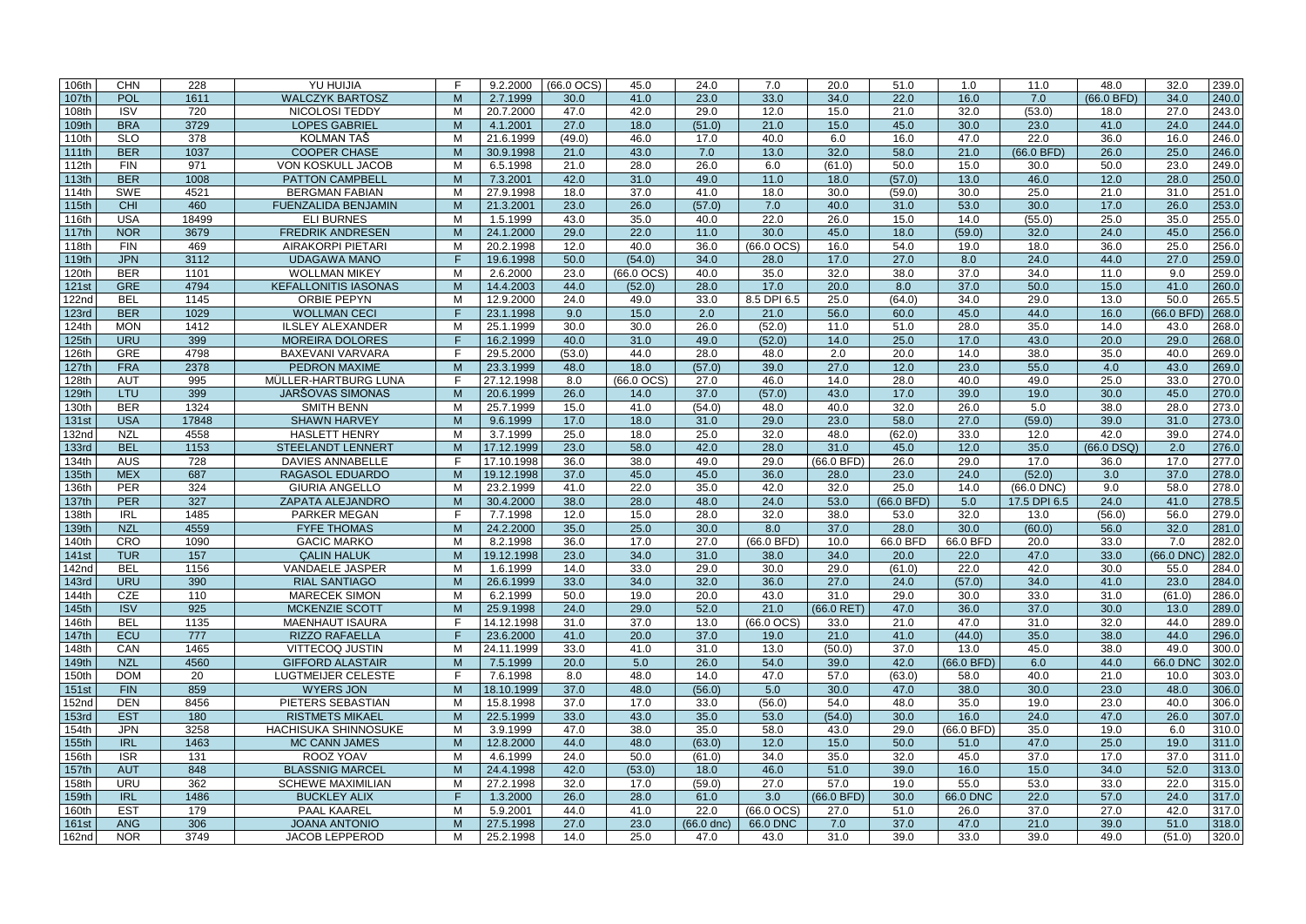| 106th        | <b>CHN</b> | 228   | YU HUIJIA                   |              | 9.2.2000   | $(66.0$ OCS $)$ | 45.0            | 24.0         | 7.0             | 20.0         | 51.0       | 1.0        | 11.0            | 48.0         | 32.0        | 239.0 |
|--------------|------------|-------|-----------------------------|--------------|------------|-----------------|-----------------|--------------|-----------------|--------------|------------|------------|-----------------|--------------|-------------|-------|
| 107th        | POL        | 1611  | <b>WALCZYK BARTOSZ</b>      | M            | 2.7.1999   | 30.0            | 41.0            | 23.0         | 33.0            | 34.0         | 22.0       | 16.0       | 7.0             | $(66.0$ BFD) | 34.0        | 240.0 |
| 108th        | <b>ISV</b> | 720   | NICOLOSI TEDDY              | M            | 20.7.2000  | 47.0            | 42.0            | 29.0         | 12.0            | 15.0         | 21.0       | 32.0       | (53.0)          | 18.0         | 27.0        | 243.0 |
| 109th        | <b>BRA</b> | 3729  | <b>LOPES GABRIEL</b>        | M            | 4.1.2001   | 27.0            | 18.0            | (51.0)       | 21.0            | 15.0         | 45.0       | 30.0       | 23.0            | 41.0         | 24.0        | 244.0 |
| 110th        | <b>SLO</b> | 378   | <b>KOLMAN TAŠ</b>           | M            | 21.6.1999  | (49.0)          | 46.0            | 17.0         | 40.0            | 6.0          | 16.0       | 47.0       | 22.0            | 36.0         | 16.0        | 246.0 |
| 111th        | <b>BER</b> | 1037  | <b>COOPER CHASE</b>         | M            | 30.9.1998  | 21.0            | 43.0            | 7.0          | 13.0            | 32.0         | 58.0       | 21.0       | (66.0 BFD)      | 26.0         | 25.0        | 246.0 |
| 112th        | <b>FIN</b> | 971   | <b>VON KOSKULL JACOB</b>    | M            | 6.5.1998   | 21.0            | 28.0            | 26.0         | 6.0             | (61.0)       | 50.0       | 15.0       | 30.0            | 50.0         | 23.0        | 249.0 |
| 113th        | <b>BER</b> | 1008  | <b>PATTON CAMPBELL</b>      | M            | 7.3.2001   | 42.0            | 31.0            | 49.0         | 11.0            | 18.0         | (57.0)     | 13.0       | 46.0            | 12.0         | 28.0        | 250.0 |
| 114th        | <b>SWE</b> | 4521  | <b>BERGMAN FABIAN</b>       | M            | 27.9.1998  | 18.0            | 37.0            | 41.0         | 18.0            | 30.0         | (59.0)     | 30.0       | 25.0            | 21.0         | 31.0        | 251.0 |
| 115th        | CHI        | 460   | <b>FUENZALIDA BENJAMIN</b>  | M            | 21.3.2001  | 23.0            | 26.0            | (57.0)       | 7.0             | 40.0         | 31.0       | 53.0       | 30.0            | 17.0         | 26.0        | 253.0 |
| 116th        | <b>USA</b> | 18499 | <b>ELI BURNES</b>           | M            | 1.5.1999   | 43.0            | 35.0            | 40.0         | 22.0            | 26.0         | 15.0       | 14.0       | (55.0)          | 25.0         | 35.0        | 255.0 |
| 117th        | <b>NOR</b> | 3679  | <b>FREDRIK ANDRESEN</b>     | M            | 24.1.2000  | 29.0            | 22.0            | 11.0         | 30.0            | 45.0         | 18.0       | (59.0)     | 32.0            | 24.0         | 45.0        | 256.0 |
|              | <b>FIN</b> | 469   | <b>AIRAKORPI PIETARI</b>    | M            | 20.2.1998  | 12.0            | 40.0            | 36.0         | $(66.0$ OCS $)$ | 16.0         | 54.0       | 19.0       | 18.0            | 36.0         | 25.0        | 256.0 |
| 118th        |            |       |                             | F            |            |                 |                 |              |                 |              |            |            |                 |              |             |       |
| 119th        | <b>JPN</b> | 3112  | <b>UDAGAWA MANO</b>         |              | 19.6.1998  | 50.0            | (54.0)          | 34.0         | 28.0            | 17.0         | 27.0       | 8.0        | 24.0            | 44.0         | 27.0        | 259.0 |
| 120th        | <b>BER</b> | 1101  | <b>WOLLMAN MIKEY</b>        | M            | 2.6.2000   | 23.0            | $(66.0$ OCS $)$ | 40.0         | 35.0            | 32.0         | 38.0       | 37.0       | 34.0            | 11.0         | 9.0         | 259.0 |
| <b>121st</b> | <b>GRE</b> | 4794  | <b>KEFALLONITIS IASONAS</b> | M            | 14.4.2003  | 44.0            | (52.0)          | 28.0         | 17.0            | 20.0         | 8.0        | 37.0       | 50.0            | 15.0         | 41.0        | 260.0 |
| 122nd        | <b>BEL</b> | 1145  | <b>ORBIE PEPYN</b>          | м            | 12.9.2000  | 24.0            | 49.0            | 33.0         | 8.5 DPI 6.5     | 25.0         | (64.0)     | 34.0       | 29.0            | 13.0         | 50.0        | 265.5 |
| <b>123rd</b> | <b>BER</b> | 1029  | <b>WOLLMAN CECI</b>         | Е            | 23.1.1998  | 9.0             | 15.0            | 2.0          | 21.0            | 56.0         | 60.0       | 45.0       | 44.0            | 16.0         | $(66.0$ BFD | 268.0 |
| 124th        | <b>MON</b> | 1412  | <b>ILSLEY ALEXANDER</b>     | M            | 25.1.1999  | 30.0            | 30.0            | 26.0         | (52.0)          | 11.0         | 51.0       | 28.0       | 35.0            | 14.0         | 43.0        | 268.0 |
| 125th        | <b>URU</b> | 399   | <b>MOREIRA DOLORES</b>      | F            | 16.2.1999  | 40.0            | 31.0            | 49.0         | (52.0)          | 14.0         | 25.0       | 17.0       | 43.0            | 20.0         | 29.0        | 268.0 |
| 126th        | <b>GRE</b> | 4798  | <b>BAXEVANI VARVARA</b>     | F.           | 29.5.2000  | (53.0)          | 44.0            | 28.0         | 48.0            | 2.0          | 20.0       | 14.0       | 38.0            | 35.0         | 40.0        | 269.0 |
| 127th        | <b>FRA</b> | 2378  | PEDRON MAXIME               | $\mathbf{M}$ | 23.3.1999  | 48.0            | 18.0            | (57.0)       | 39.0            | 27.0         | 12.0       | 23.0       | 55.0            | 4.0          | 43.0        | 269.0 |
| 128th        | <b>AUT</b> | 995   | MÜLLER-HARTBURG LUNA        | F.           | 27.12.1998 | 8.0             | $(66.0$ OCS $)$ | 27.0         | 46.0            | 14.0         | 28.0       | 40.0       | 49.0            | 25.0         | 33.0        | 270.0 |
| 129th        | LTU        | 399   | JARŠOVAS SIMONAS            | $\mathsf{M}$ | 20.6.1999  | 26.0            | 14.0            | 37.0         | (57.0)          | 43.0         | 17.0       | 39.0       | 19.0            | 30.0         | 45.0        | 270.0 |
| 130th        | <b>BER</b> | 1324  | <b>SMITH BENN</b>           | M            | 25.7.1999  | 15.0            | 41.0            | (54.0)       | 48.0            | 40.0         | 32.0       | 26.0       | 5.0             | 38.0         | 28.0        | 273.0 |
| <b>131st</b> | <b>USA</b> | 17848 | <b>SHAWN HARVEY</b>         | $\mathsf{M}$ | 9.6.1999   | 17.0            | 18.0            | 31.0         | 29.0            | 23.0         | 58.0       | 27.0       | (59.0)          | 39.0         | 31.0        | 273.0 |
| 132nd        | <b>NZL</b> | 4558  | <b>HASLETT HENRY</b>        | M            | 3.7.1999   | 25.0            | 18.0            | 25.0         | 32.0            | 48.0         | (62.0)     | 33.0       | 12.0            | 42.0         | 39.0        | 274.0 |
| <b>133rd</b> | <b>BEL</b> | 1153  | <b>STEELANDT LENNERT</b>    | M            | 17.12.1999 | 23.0            | 58.0            | 42.0         | 28.0            | 31.0         | 45.0       | 12.0       | 35.0            | $(66.0$ DSQ) | 2.0         | 276.0 |
| 134th        | <b>AUS</b> | 728   | <b>DAVIES ANNABELLE</b>     | Е            | 17.10.1998 | 36.0            | 38.0            | 49.0         | 29.0            | (66.0 BFD)   | 26.0       | 29.0       | 17.0            | 36.0         | 17.0        | 277.0 |
|              |            | 687   |                             |              |            |                 |                 |              |                 |              |            |            |                 |              |             |       |
| 135th        | <b>MEX</b> |       | <b>RAGASOL EDUARDO</b>      | $\mathsf{M}$ | 19.12.1998 | 37.0            | 45.0            | 45.0         | 36.0            | 28.0         | 23.0       | 24.0       | (52.0)          | 3.0          | 37.0        | 278.0 |
| 136th        | <b>PER</b> | 324   | <b>GIURIA ANGELLO</b>       | м            | 23.2.1999  | 41.0            | 22.0            | 35.0         | 42.0            | 32.0         | 25.0       | 14.0       | $(66.0$ DNC $)$ | 9.0          | 58.0        | 278.0 |
| 137th        | <b>PER</b> | 327   | ZAPATA ALEJANDRO            | M            | 30.4.2000  | 38.0            | 28.0            | 48.0         | 24.0            | 53.0         | (66.0 BFD) | 5.0        | 17.5 DPI 6.5    | 24.0         | 41.0        | 278.5 |
| 138th        | <b>IRL</b> | 1485  | <b>PARKER MEGAN</b>         | F.           | 7.7.1998   | 12.0            | 15.0            | 28.0         | 32.0            | 38.0         | 53.0       | 32.0       | 13.0            | (56.0)       | 56.0        | 279.0 |
| 139th        | <b>NZL</b> | 4559  | <b>FYFE THOMAS</b>          | M            | 24.2.2000  | 35.0            | 25.0            | 30.0         | 8.0             | 37.0         | 28.0       | 30.0       | (60.0)          | 56.0         | 32.0        | 281.0 |
| 140th        | CRO        | 1090  | <b>GACIC MARKO</b>          | м            | 8.2.1998   | 36.0            | 17.0            | 27.0         | (66.0 BFD)      | 10.0         | 66.0 BFD   | 66.0 BFD   | 20.0            | 33.0         | 7.0         | 282.0 |
| <b>141st</b> | <b>TUR</b> | 157   | <b>CALIN HALUK</b>          | M            | 19.12.1998 | 23.0            | 34.0            | 31.0         | 38.0            | 34.0         | 20.0       | 22.0       | 47.0            | 33.0         | (66.0 DNC)  | 282.0 |
| 142nd        | <b>BEL</b> | 1156  | <b>VANDAELE JASPER</b>      | M            | 1.6.1999   | 14.0            | 33.0            | 29.0         | 30.0            | 29.0         | (61.0)     | 22.0       | 42.0            | 30.0         | 55.0        | 284.0 |
| 143rd        | <b>URU</b> | 390   | <b>RIAL SANTIAGO</b>        | M            | 26.6.1999  | 33.0            | 34.0            | 32.0         | 36.0            | 27.0         | 24.0       | (57.0)     | 34.0            | 41.0         | 23.0        | 284.0 |
| 144th        | <b>CZE</b> | 110   | <b>MARECEK SIMON</b>        | M            | 6.2.1999   | 50.0            | 19.0            | 20.0         | 43.0            | 31.0         | 29.0       | 30.0       | 33.0            | 31.0         | (61.0)      | 286.0 |
| 145th        | <b>ISV</b> | 925   | MCKENZIE SCOTT              | M            | 25.9.1998  | 24.0            | 29.0            | 52.0         | 21.0            | $(66.0$ RET) | 47.0       | 36.0       | 37.0            | 30.0         | 13.0        | 289.0 |
| 146th        | <b>BEL</b> | 1135  | <b>MAENHAUT ISAURA</b>      | F.           | 14.12.1998 | 31.0            | 37.0            | 13.0         | $(66.0$ OCS $)$ | 33.0         | 21.0       | 47.0       | 31.0            | 32.0         | 44.0        | 289.0 |
| 147th        | <b>ECU</b> | 777   | <b>RIZZO RAFAELLA</b>       | F            | 23.6.2000  | 41.0            | 20.0            | 37.0         | 19.0            | 21.0         | 41.0       | (44.0)     | 35.0            | 38.0         | 44.0        | 296.0 |
| 148th        | CAN        | 1465  | VITTECOQ JUSTIN             | M            | 24.11.1999 | 33.0            | 41.0            | 31.0         | 13.0            | (50.0)       | 37.0       | 13.0       | 45.0            | 38.0         | 49.0        | 300.0 |
| 149th        | <b>NZL</b> | 4560  | <b>GIFFORD ALASTAIR</b>     | M            | 7.5.1999   | 20.0            | 5.0             | 26.0         | 54.0            | 39.0         | 42.0       | (66.0 BFD) | 6.0             | 44.0         | 66.0 DNC    | 302.0 |
| 150th        | <b>DOM</b> | 20    | LUGTMEIJER CELESTE          | E            | 7.6.1998   | 8.0             | 48.0            | 14.0         | 47.0            | 57.0         | (63.0)     | 58.0       | 40.0            | 21.0         | 10.0        | 303.0 |
| 151st        | <b>FIN</b> | 859   | <b>WYERS JON</b>            | M            | 18.10.1999 | 37.0            | 48.0            | (56.0)       | 5.0             | 30.0         | 47.0       | 38.0       | 30.0            | 23.0         | 48.0        | 306.0 |
|              | <b>DEN</b> | 8456  |                             |              |            | 37.0            | 17.0            | 33.0         |                 | 54.0         |            | 35.0       | 19.0            |              |             |       |
| 152nd        |            |       | PIETERS SEBASTIAN           | M            | 15.8.1998  |                 |                 |              | (56.0)          |              | 48.0       |            |                 | 23.0         | 40.0        | 306.0 |
| <b>153rd</b> | <b>EST</b> | 180   | <b>RISTMETS MIKAEL</b>      | M            | 22.5.1999  | 33.0            | 43.0            | 35.0         | 53.0            | (54.0)       | 30.0       | 16.0       | 24.0            | 47.0         | 26.0        | 307.0 |
| 154th        | <b>JPN</b> | 3258  | HACHISUKA SHINNOSUKE        | M            | 3.9.1999   | 47.0            | 38.0            | 35.0         | 58.0            | 43.0         | 29.0       | (66.0 BFD) | 35.0            | 19.0         | 6.0         | 310.0 |
| 155th        | <b>IRL</b> | 1463  | MC CANN JAMES               | M            | 12.8.2000  | 44.0            | 48.0            | (63.0)       | 12.0            | 15.0         | 50.0       | 51.0       | 47.0            | 25.0         | 19.0        | 311.0 |
| 156th        | <b>ISR</b> | 131   | ROOZ YOAV                   | M            | 4.6.1999   | 24.0            | 50.0            | (61.0)       | 34.0            | 35.0         | 32.0       | 45.0       | 37.0            | 17.0         | 37.0        | 311.0 |
| 157th        | <b>AUT</b> | 848   | <b>BLASSNIG MARCEL</b>      | M            | 24.4.1998  | 42.0            | (53.0)          | 18.0         | 46.0            | 51.0         | 39.0       | 16.0       | 15.0            | 34.0         | 52.0        | 313.0 |
| 158th        | <b>URU</b> | 362   | <b>SCHEWE MAXIMILIAN</b>    | M            | 27.2.1998  | 32.0            | 17.0            | (59.0)       | 27.0            | 57.0         | 19.0       | 55.0       | 53.0            | 33.0         | 22.0        | 315.0 |
| 159th        | <b>IRL</b> | 1486  | <b>BUCKLEY ALIX</b>         | F            | 1.3.2000   | 26.0            | 28.0            | 61.0         | 3.0             | (66.0 BFD)   | 30.0       | 66.0 DNC   | 22.0            | 57.0         | 24.0        | 317.0 |
| 160th        | <b>EST</b> | 179   | PAAL KAAREL                 | M            | 5.9.2001   | 44.0            | 41.0            | 22.0         | $(66.0$ OCS $)$ | 27.0         | 51.0       | 26.0       | 37.0            | 27.0         | 42.0        | 317.0 |
| <b>161st</b> | <b>ANG</b> | 306   | <b>JOANA ANTONIO</b>        | M            | 27.5.1998  | 27.0            | 23.0            | $(66.0$ dnc) | 66.0 DNC        | 7.0          | 37.0       | 47.0       | 21.0            | 39.0         | 51.0        | 318.0 |
| 162nd        | <b>NOR</b> | 3749  | <b>JACOB LEPPEROD</b>       | M            | 25.2.1998  | 14.0            | 25.0            | 47.0         | 43.0            | 31.0         | 39.0       | 33.0       | 39.0            | 49.0         | (51.0)      | 320.0 |
|              |            |       |                             |              |            |                 |                 |              |                 |              |            |            |                 |              |             |       |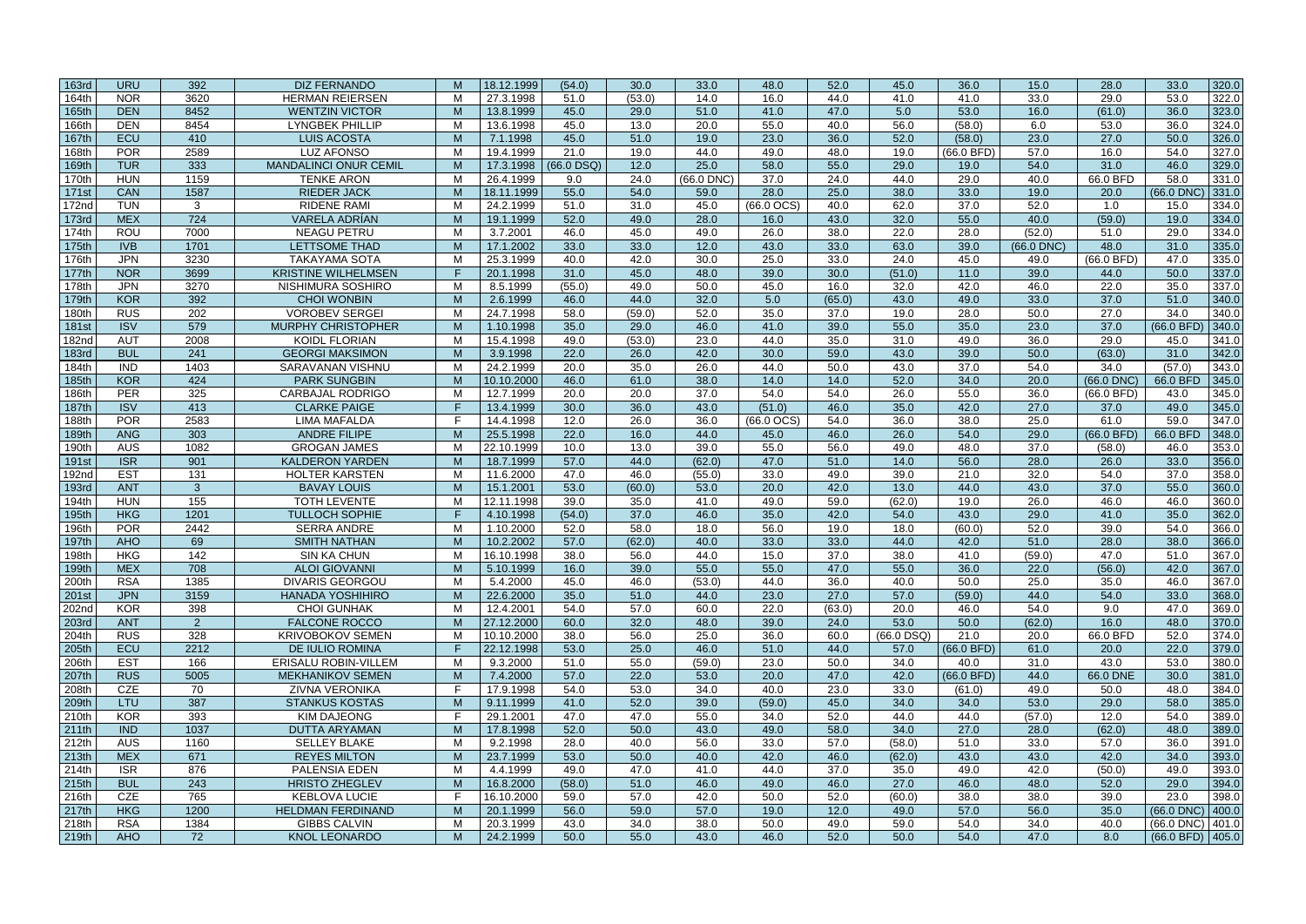| 163rd        | <b>URU</b> | 392            | <b>DIZ FERNANDO</b>          | M      | 18.12.1999 | (54.0)       | 30.0   | 33.0      | 48.0         | 52.0   | 45.0         | 36.0       | 15.0         | 28.0              | 33.0                  | 320.0 |
|--------------|------------|----------------|------------------------------|--------|------------|--------------|--------|-----------|--------------|--------|--------------|------------|--------------|-------------------|-----------------------|-------|
| 164th        | <b>NOR</b> | 3620           | <b>HERMAN REIERSEN</b>       | м      | 27.3.1998  | 51.0         | (53.0) | 14.0      | 16.0         | 44.0   | 41.0         | 41.0       | 33.0         | 29.0              | 53.0                  | 322.0 |
| 165th        | <b>DEN</b> | 8452           | <b>WENTZIN VICTOR</b>        | M      | 13.8.1999  | 45.0         | 29.0   | 51.0      | 41.0         | 47.0   | 5.0          | 53.0       | 16.0         | (61.0)            | 36.0                  | 323.0 |
| 166th        | <b>DEN</b> | 8454           | <b>LYNGBEK PHILLIP</b>       | м      | 13.6.1998  | 45.0         | 13.0   | 20.0      | 55.0         | 40.0   | 56.0         | (58.0)     | 6.0          | 53.0              | 36.0                  | 324.0 |
| 167th        | ECU        | 410            | <b>LUIS ACOSTA</b>           | M      | 7.1.1998   | 45.0         | 51.0   | 19.0      | 23.0         | 36.0   | 52.0         | (58.0)     | 23.0         | 27.0              | 50.0                  | 326.0 |
| 168th        | <b>POR</b> | 2589           | <b>LUZ AFONSO</b>            | M      | 19.4.1999  | 21.0         | 19.0   | 44.0      | 49.0         | 48.0   | 19.0         | (66.0 BFD) | 57.0         | 16.0              | 54.0                  | 327.0 |
| 169th        | <b>TUR</b> | 333            | <b>MANDALINCI ONUR CEMIL</b> | M      | 17.3.1998  | $(66.0$ DSQ) | 12.0   | 25.0      | 58.0         | 55.0   | 29.0         | 19.0       | 54.0         | 31.0              | 46.0                  | 329.0 |
| 170th        | <b>HUN</b> | 1159           | <b>TENKE ARON</b>            | M      | 26.4.1999  | 9.0          | 24.0   | (66.0 DNC | 37.0         | 24.0   | 44.0         | 29.0       | 40.0         | 66.0 BFD          | 58.0                  | 331.0 |
| 171st        | <b>CAN</b> | 1587           | <b>RIEDER JACK</b>           | M      | 18.11.1999 | 55.0         | 54.0   | 59.0      | 28.0         | 25.0   | 38.0         | 33.0       | 19.0         | 20.0              | (66.0 DNC             | 331.0 |
| 172nd        | <b>TUN</b> | 3              | <b>RIDENE RAMI</b>           | M      | 24.2.1999  | 51.0         | 31.0   | 45.0      | $(66.0$ OCS) | 40.0   | 62.0         | 37.0       | 52.0         | 1.0               | 15.0                  | 334.0 |
| 173rd        | <b>MEX</b> | 724            | <b>VARELA ADRÍAN</b>         | M      | 19.1.1999  | 52.0         | 49.0   | 28.0      | 16.0         | 43.0   | 32.0         | 55.0       | 40.0         | (59.0)            | 19.0                  | 334.0 |
| 174th        | <b>ROU</b> | 7000           | <b>NEAGU PETRU</b>           | M      | 3.7.2001   | 46.0         | 45.0   | 49.0      | 26.0         | 38.0   | 22.0         | 28.0       | (52.0)       | 51.0              | 29.0                  | 334.0 |
| 175th        | <b>IVB</b> | 1701           | <b>LETTSOME THAD</b>         | M      | 17.1.2002  | 33.0         | 33.0   | 12.0      | 43.0         | 33.0   | 63.0         | 39.0       | $(66.0$ DNC) | 48.0              | 31.0                  |       |
|              |            |                |                              |        |            |              |        |           |              |        |              |            |              |                   |                       | 335.0 |
| 176th        | <b>JPN</b> | 3230           | <b>TAKAYAMA SOTA</b>         | м<br>F | 25.3.1999  | 40.0         | 42.0   | 30.0      | 25.0         | 33.0   | 24.0         | 45.0       | 49.0         | (66.0 BFD)        | 47.0                  | 335.0 |
| 177th        | <b>NOR</b> | 3699           | <b>KRISTINE WILHELMSEN</b>   |        | 20.1.1998  | 31.0         | 45.0   | 48.0      | 39.0         | 30.0   | (51.0)       | 11.0       | 39.0         | 44.0              | 50.0                  | 337.0 |
| 178th        | <b>JPN</b> | 3270           | NISHIMURA SOSHIRO            | M      | 8.5.1999   | (55.0)       | 49.0   | 50.0      | 45.0         | 16.0   | 32.0         | 42.0       | 46.0         | 22.0              | 35.0                  | 337.0 |
| 179th        | <b>KOR</b> | 392            | <b>CHOI WONBIN</b>           | M      | 2.6.1999   | 46.0         | 44.0   | 32.0      | 5.0          | (65.0) | 43.0         | 49.0       | 33.0         | 37.0              | 51.0                  | 340.0 |
| 180th        | <b>RUS</b> | 202            | <b>VOROBEV SERGEI</b>        | M      | 24.7.1998  | 58.0         | (59.0) | 52.0      | 35.0         | 37.0   | 19.0         | 28.0       | 50.0         | $\overline{27.0}$ | 34.0                  | 340.0 |
| 181st        | <b>ISV</b> | 579            | <b>MURPHY CHRISTOPHER</b>    | M      | 1.10.1998  | 35.0         | 29.0   | 46.0      | 41.0         | 39.0   | 55.0         | 35.0       | 23.0         | 37.0              | $(66.0$ BFD           | 340.0 |
| 182nd        | <b>AUT</b> | 2008           | <b>KOIDL FLORIAN</b>         | м      | 15.4.1998  | 49.0         | (53.0) | 23.0      | 44.0         | 35.0   | 31.0         | 49.0       | 36.0         | 29.0              | 45.0                  | 341.0 |
| <b>183rd</b> | <b>BUL</b> | 241            | <b>GEORGI MAKSIMON</b>       | M      | 3.9.1998   | 22.0         | 26.0   | 42.0      | 30.0         | 59.0   | 43.0         | 39.0       | 50.0         | (63.0)            | 31.0                  | 342.0 |
| 184th        | <b>IND</b> | 1403           | SARAVANAN VISHNU             | M      | 24.2.1999  | 20.0         | 35.0   | 26.0      | 44.0         | 50.0   | 43.0         | 37.0       | 54.0         | 34.0              | (57.0)                | 343.0 |
| 185th        | <b>KOR</b> | 424            | <b>PARK SUNGBIN</b>          | M      | 10.10.2000 | 46.0         | 61.0   | 38.0      | 14.0         | 14.0   | 52.0         | 34.0       | 20.0         | (66.0 DNC)        | 66.0 BFD              | 345.0 |
| 186th        | <b>PER</b> | 325            | <b>CARBAJAL RODRIGO</b>      | M      | 12.7.1999  | 20.0         | 20.0   | 37.0      | 54.0         | 54.0   | 26.0         | 55.0       | 36.0         | (66.0 BFD)        | 43.0                  | 345.0 |
| 187th        | <b>ISV</b> | 413            | <b>CLARKE PAIGE</b>          | F      | 13.4.1999  | 30.0         | 36.0   | 43.0      | (51.0)       | 46.0   | 35.0         | 42.0       | 27.0         | 37.0              | 49.0                  | 345.0 |
| 188th        | <b>POR</b> | 2583           | <b>LIMA MAFALDA</b>          | E      | 14.4.1998  | 12.0         | 26.0   | 36.0      | $(66.0$ OCS) | 54.0   | 36.0         | 38.0       | 25.0         | 61.0              | 59.0                  | 347.0 |
| 189th        | <b>ANG</b> | 303            | <b>ANDRE FILIPE</b>          | M      | 25.5.1998  | 22.0         | 16.0   | 44.0      | 45.0         | 46.0   | 26.0         | 54.0       | 29.0         | $(66.0$ BFD)      | 66.0 BFD              | 348.0 |
| 190th        | <b>AUS</b> | 1082           | <b>GROGAN JAMES</b>          | м      | 22.10.1999 | 10.0         | 13.0   | 39.0      | 55.0         | 56.0   | 49.0         | 48.0       | 37.0         | (58.0)            | 46.0                  | 353.0 |
| 191st        | <b>ISR</b> | 901            | <b>KALDERON YARDEN</b>       | M      | 18.7.1999  | 57.0         | 44.0   | (62.0)    | 47.0         | 51.0   | 14.0         | 56.0       | 28.0         | 26.0              | 33.0                  | 356.0 |
| 192nd        | <b>EST</b> | 131            | <b>HOLTER KARSTEN</b>        | M      | 11.6.2000  | 47.0         | 46.0   | (55.0)    | 33.0         | 49.0   | 39.0         | 21.0       | 32.0         | 54.0              | 37.0                  | 358.0 |
| 193rd        | <b>ANT</b> | $\mathbf{3}$   | <b>BAVAY LOUIS</b>           | M      | 15.1.2001  | 53.0         | (60.0) | 53.0      | 20.0         | 42.0   | 13.0         | 44.0       | 43.0         | 37.0              | 55.0                  | 360.0 |
| 194th        | <b>HUN</b> | 155            | <b>TOTH LEVENTE</b>          | M      | 12.11.1998 | 39.0         | 35.0   | 41.0      | 49.0         | 59.0   | (62.0)       | 19.0       | 26.0         | 46.0              | 46.0                  | 360.0 |
| 195th        | <b>HKG</b> | 1201           | <b>TULLOCH SOPHIE</b>        | F      | 4.10.1998  | (54.0)       | 37.0   | 46.0      | 35.0         | 42.0   | 54.0         | 43.0       | 29.0         | 41.0              | 35.0                  | 362.0 |
| 196th        | <b>POR</b> | 2442           | <b>SERRA ANDRE</b>           | M      | 1.10.2000  | 52.0         | 58.0   | 18.0      | 56.0         | 19.0   | 18.0         | (60.0)     | 52.0         | 39.0              | 54.0                  | 366.0 |
| 197th        | <b>AHO</b> | 69             | <b>SMITH NATHAN</b>          | M      | 10.2.2002  | 57.0         | (62.0) | 40.0      | 33.0         | 33.0   | 44.0         | 42.0       | 51.0         | 28.0              | 38.0                  | 366.0 |
| 198th        | <b>HKG</b> | 142            | <b>SIN KA CHUN</b>           | M      | 16.10.1998 | 38.0         | 56.0   | 44.0      | 15.0         | 37.0   | 38.0         | 41.0       | (59.0)       | 47.0              | 51.0                  | 367.0 |
| 199th        | <b>MEX</b> | 708            | <b>ALOI GIOVANNI</b>         | M      | 5.10.1999  | 16.0         | 39.0   | 55.0      | 55.0         | 47.0   | 55.0         | 36.0       | 22.0         | (56.0)            | 42.0                  | 367.0 |
| 200th        | <b>RSA</b> | 1385           | <b>DIVARIS GEORGOU</b>       | M      | 5.4.2000   | 45.0         | 46.0   | (53.0)    | 44.0         | 36.0   | 40.0         | 50.0       | 25.0         | 35.0              | 46.0                  | 367.0 |
| 201st        | <b>JPN</b> | 3159           | HANADA YOSHIHIRO             | M      | 22.6.2000  | 35.0         | 51.0   | 44.0      | 23.0         | 27.0   | 57.0         | (59.0)     | 44.0         | 54.0              | 33.0                  | 368.0 |
| 202nd        | <b>KOR</b> | 398            | <b>CHOI GUNHAK</b>           | M      | 12.4.2001  | 54.0         | 57.0   | 60.0      | 22.0         | (63.0) | 20.0         | 46.0       | 54.0         | 9.0               | 47.0                  | 369.0 |
| 203rd        | <b>ANT</b> | $\overline{2}$ | <b>FALCONE ROCCO</b>         | M      | 27.12.2000 | 60.0         | 32.0   | 48.0      | 39.0         | 24.0   | 53.0         | 50.0       | (62.0)       | 16.0              | 48.0                  | 370.0 |
| 204th        | <b>RUS</b> | 328            | <b>KRIVOBOKOV SEMEN</b>      | M      | 10.10.2000 | 38.0         | 56.0   | 25.0      | 36.0         | 60.0   | $(66.0$ DSQ) | 21.0       | 20.0         | 66.0 BFD          | 52.0                  | 374.0 |
| 205th        | ECU        | 2212           | DE IULIO ROMINA              | F      | 22.12.1998 | 53.0         | 25.0   | 46.0      | 51.0         | 44.0   | 57.0         | (66.0 BFD) | 61.0         | 20.0              | 22.0                  | 379.0 |
| 206th        | <b>EST</b> | 166            | ERISALU ROBIN-VILLEM         | M      | 9.3.2000   | 51.0         | 55.0   | (59.0)    | 23.0         | 50.0   | 34.0         | 40.0       | 31.0         | 43.0              | 53.0                  | 380.0 |
| 207th        | <b>RUS</b> | 5005           | <b>MEKHANIKOV SEMEN</b>      | M      | 7.4.2000   | 57.0         | 22.0   | 53.0      | 20.0         | 47.0   | 42.0         | (66.0 BFD) | 44.0         | 66.0 DNE          | 30.0                  | 381.0 |
| 208th        | <b>CZE</b> | 70             | <b>ZIVNA VERONIKA</b>        | E      | 17.9.1998  | 54.0         | 53.0   | 34.0      | 40.0         | 23.0   | 33.0         | (61.0)     | 49.0         | 50.0              | 48.0                  | 384.0 |
| 209th        | <b>LTU</b> | 387            | <b>STANKUS KOSTAS</b>        | M      | 9.11.1999  | 41.0         | 52.0   | 39.0      | (59.0)       | 45.0   | 34.0         | 34.0       | 53.0         | 29.0              | 58.0                  | 385.0 |
| 210th        | <b>KOR</b> | 393            | <b>KIM DAJEONG</b>           | E      | 29.1.2001  | 47.0         | 47.0   | 55.0      | 34.0         | 52.0   | 44.0         | 44.0       | (57.0)       | 12.0              | 54.0                  | 389.0 |
| 211th        | <b>IND</b> | 1037           | <b>DUTTA ARYAMAN</b>         | M      | 17.8.1998  | 52.0         | 50.0   | 43.0      | 49.0         | 58.0   | 34.0         | 27.0       | 28.0         | (62.0)            | 48.0                  | 389.0 |
| 212th        | <b>AUS</b> | 1160           | <b>SELLEY BLAKE</b>          | M      | 9.2.1998   | 28.0         | 40.0   | 56.0      | 33.0         | 57.0   | (58.0)       | 51.0       | 33.0         | 57.0              | 36.0                  | 391.0 |
| 213th        | <b>MEX</b> | 671            | <b>REYES MILTON</b>          | M      | 23.7.1999  | 53.0         | 50.0   | 40.0      | 42.0         | 46.0   | (62.0)       | 43.0       | 43.0         | 42.0              | 34.0                  | 393.0 |
| 214th        | <b>ISR</b> | 876            | PALENSIA EDEN                | M      | 4.4.1999   | 49.0         | 47.0   | 41.0      | 44.0         | 37.0   | 35.0         | 49.0       | 42.0         | (50.0)            | 49.0                  | 393.0 |
| 215th        | <b>BUL</b> | 243            | <b>HRISTO ZHEGLEV</b>        | M      | 16.8.2000  | (58.0)       | 51.0   | 46.0      | 49.0         | 46.0   | 27.0         | 46.0       | 48.0         | 52.0              | 29.0                  | 394.0 |
| 216th        | <b>CZE</b> | 765            | <b>KEBLOVA LUCIE</b>         | E      | 16.10.2000 | 59.0         | 57.0   | 42.0      | 50.0         | 52.0   | (60.0)       | 38.0       | 38.0         | 39.0              | 23.0                  | 398.0 |
| 217th        | <b>HKG</b> | 1200           | <b>HELDMAN FERDINAND</b>     | M      | 20.1.1999  | 56.0         | 59.0   | 57.0      | 19.0         | 12.0   | 49.0         | 57.0       | 56.0         | 35.0              | $(66.0$ DNC) 400.0    |       |
| 218th        | <b>RSA</b> | 1384           | <b>GIBBS CALVIN</b>          | M      | 20.3.1999  | 43.0         | 34.0   | 38.0      | 50.0         | 49.0   | 59.0         | 54.0       | 34.0         | 40.0              | $(66.0$ DNC $)$ 401.0 |       |
| 219th        | <b>AHO</b> | 72             | <b>KNOL LEONARDO</b>         | M      | 24.2.1999  | 50.0         | 55.0   | 43.0      | 46.0         | 52.0   | 50.0         | 54.0       | 47.0         | 8.0               | $(66.0$ BFD) 405.0    |       |
|              |            |                |                              |        |            |              |        |           |              |        |              |            |              |                   |                       |       |